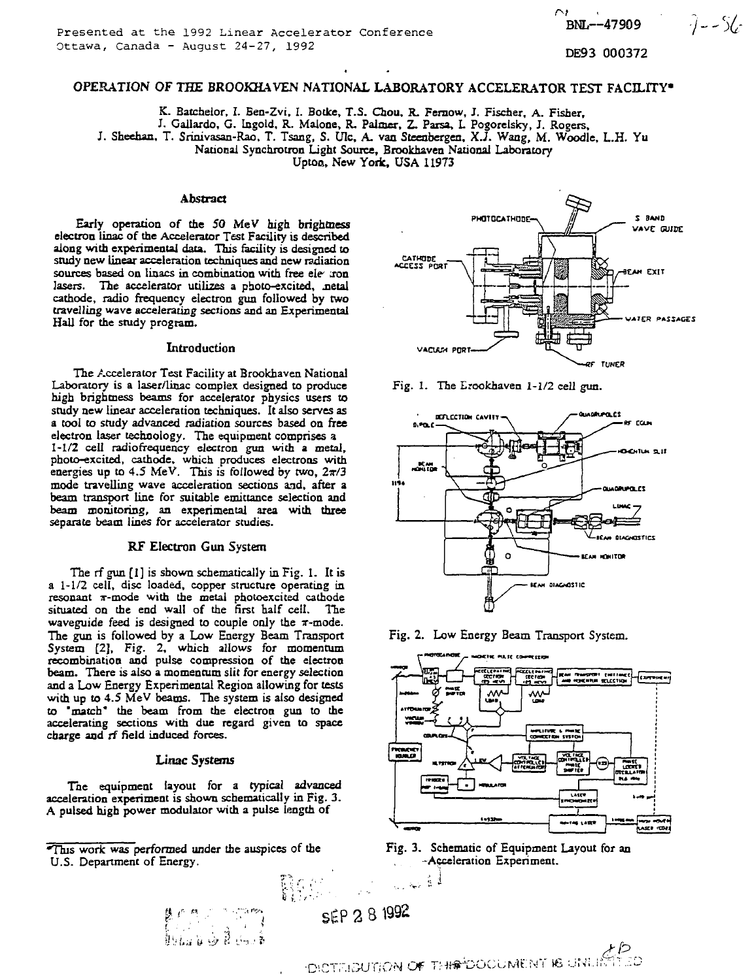BNL--47909 DE93 000372

*•'/-% •*

 $-7 - 56$ 

OPERATION OF THE BROOKHAVEN NATIONAL LABORATORY ACCELERATOR TEST FACILITY"

K. Batchelor, I. Ben-Zvi, I. Botke, T.S. Chou, R. Femow, J. Fischer, A. Fisher,

J. Gallardo, G. Ingold, R. Malone, R. Palmer, Z. Parsa, L Pogorelsky, J. Rogers,

J. Sheeban, T. Srinivasan-Rao. T. Tsang, S. Ulc, A. van Steeabergen, X.J. Wang, M. Woodle, L.H. Yu

National Synchrotron Light Source, Brookhaven National Laboratory

Uptoa, New York, USA 11973

### **Abstract**

Early operation of the 50 MeV high brightness electron linac of the Accelerator Test Facility is described along with experimental data. This facility is designed to study new linear acceleration techniques and new radiation sources based on linacs in combination with free ele *son* lasers. The accelerator utilizes a photo-excited, netal cathode, radio frequency electron gun followed by two travelling wave accelerating sections and an Experimental Hall for the study program.

#### Introduction

The Accelerator Test Facility at Brookhaven National Laboratory is a laser/linac complex designed to produce high brightness beams for accelerator physics users to study new linear acceleration techniques. It also serves as a tool to study advanced radiation sources based on free electron laser technology. The equipment comprises a 1-1/2 cell radiofrequency electron gun with a metal, photo-excited, cathode, which produces electrons with energies up to 4.5 MeV. This is followed by two,  $2\pi/3$ mode travelling wave acceleration sections and, after a beam transport line for suitable emittance selection and beam monitoring, an experimental area with three separate beam lines for accelerator studies.

### RF Electron Gun System

The rf gun [1] is shown schematically in Fig. 1. It is a 1-1/2 cell, disc loaded, copper structure operating in resonant  $\pi$ -mode with the metal photoexcited cathode situated on the end wall of the first half cell. The waveguide feed is designed to couple only the  $\pi$ -mode. The gun is followed by a Low Energy Beam Transport System [2], Fig. 2, which allows for momentum recombination and pulse compression of the electron beam. There is also a momentum slit for energy selection and a Low Energy Experimental Region allowing for tests with up to 4.5 MeV beams. The system is also designed to 'match\* the beam from the electron gun to the accelerating sections with due regard given to space charge and rf field induced forces.

#### **Linac Systems**

The equipment layout for a typical advanced acceleration experiment is shown schematically in Fig. 3. A pulsed high power modulator with a pulse length of

•This work was performed under the auspices of the U.S. Department of Energy.

Fig. 1. The Erookhaven 1-1/2 cell gun.













HS 20

الأميدين

OR THROOD MENT IS UNLIMITED

**PHOTOCATHODE-A S** SAND **V»VC GUISE** CATHODE<br>ACCESS PORT **EXIT VATCR PASSAGES VACUUM PORT TUNER**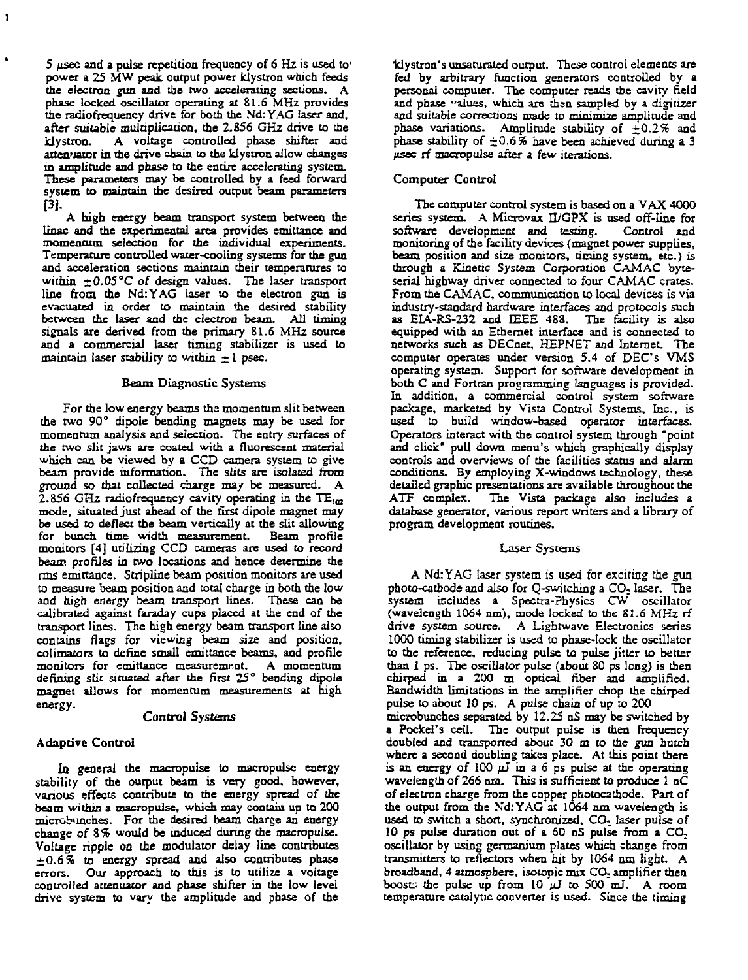**5 /isec and a pulse repetition frequency of 6 Hz is used to' power a 25 MW peak output power klystron which feeds the electron gun and the two accelerating sections. A phase locked oscillator operating at 81.6 MHz provides the radiofrequency drive for both the Nd: YAG laser and, after suitable multiplication, the 2.856 GHz drive to the klystron. A voltage controlled phase shifter and attenuator in the drive chain to the klystron allow changes in amplitude and phase to the entire accelerating system. These parameters may be controlled by a feed forward system to maintain the desired output beam parameters [3].**

 $\ddot{\phantom{a}}$ 

**A high energy beam transport system between the linac and the experimental area provides emittance and momentum selection for the individual experiments. Temperature controlled water-cooling systems for the gun and acceleration sections maintain their temperatures to within** *±Q.OS°C of* **design values. The laser transport line from the Nd:YAG laser to the electron gun is evacuated in order to maintain the desired stability between the laser and the electron beam. All timing signals are derived from the primary 31.6 MHz source and a commercial laser timing stabilizer is used to maintain laser stability to within ± 1 psec.**

### **Beam Diagnostic Systems**

**For the low energy beams the momentum slit between the two 90° dipole bending magnets may be used for momentum analysis and selection. The entry surfaces of the two slit jaws are coated with a fluorescent material which can be viewed by a CCD camera system to give beam provide information. The slits are isolated from ground so that collected charge may be measured. A 2.S56 GHz radiofrequency cavity operating in the TE^ mode, situated just ahead of the first dipole magnet may be used to deflect the beam vertically at the slit allowing for bunch time width measurement. Beam profile monitors [4] utilizing CCD cameras are used to record beam profiles in two locations and hence determine the rms emittance. Stripline beam position monitors are used to measure beam position and total charge in both the low and high energy beam transport lines. These can be calibrated against faraday cups placed at the end of the transport lines. The high energy beam transport line also contains flags for viewing beam size and position, colimators to define small emittance beams, and profile monitors for emittance measurement. A momentum defining slit situated after the first 25° bending dipole magnet allows for momentum measurements at high energy.**

## **Control Systems**

## **Adaptive Control**

**In general the macropuise to macropulse energy stability of the output beam is very good, however, various effects contribute to the energy spread of the beam within a macropulse, which may contain up to 200** microbunches. For the desired beam charge an energy **change of 3% would be induced during the macropuise. Voltage ripple on the modulator delay line contributes ±0.6% to energy spread and also contributes phase errors. Our approach to this is to utilize a voltage controlled attenuator and phase shifter in the low level drive system to vary the amplitude and phase of the**

**'klystron's unsaturated output. These control elements are fed by arbitrary function generators controlled by a personal computer. The computer reads the cavity field and phase values, which are then sampled by a digitizer** and suitable corrections made to minimize amplitude and phase variations. Amplitude stability of  $\pm 0.2\%$  and **phase stability of ±0.6% have been achieved during a 3 fisec rf macropuise after a few iterations.**

# **Computer Control**

**The computer control system is based on a VAX 4000** series system. A Microvax II/GPX is used off-line for **software development and testing. Control and monitoring of the facility devices (magnet power supplies,** beam position and size monitors, timing system, etc.) is **through a Kinetic** *System* **Corporation CAMAC byteserial highway driver connected to four CAMAC crates. From the CAMAC, communication to local devices is via industry-standard hardware interfaces and protocols such as EIA-RS-232 and IEEE 488. The facility is also equipped with an Ethernet interface and is connected to networks such as DECnet, HEPNET and Internet. The computer operates under version 5.4 of DEC's VMS operating system. Support for software development in both C and Fortran programming languages is provided. In addition, a commercial control system software package, marketed by Vista Control Systems, Inc., is used to build window-based operator interfaces. Operators interact with the control system through "point and click\* pull down menu's which graphically display controls and overviews of the facilities status and alarm conditions. By employing X-windows technology, these detailed graphic presentations are available throughout the ATF complex. The Vista package also includes a database generator, various report writers and a library of program development routines.**

## **Laser Systems**

A Nd:YAG laser system is used for exciting the gun **photo-cathode and also for Q-switcbing a CO. laser. The system includes a Spectra-Physics CW oscillator (wavelength 1064 run), mode locked to the 81.6 MHz rf drive system source. A Lightwave Electronics series 1000 timing stabilizer is used to phase-lock the oscillator to the reference, reducing pulse to pulse jitter to better than 1 ps. The oscillator pulse (about SO ps long) is then chirped in a 200 m optical fiber and amplified. Bandwidth limitations in the amplifier chop the chirped pulse to about 10 ps. A pulse chain** *of* **up to 200 microbunches separated by 12.25 nS may be switched by a Pockel's cell. The output pulse is then frequency doubled and transported about 30 m to the gun hutch where a second doubling takes place. At this point there is an energy of 100 jJ in a 6 ps pulse at die operating wavelength of 266 am. This is sufficient** *to* **produce 1 nC of electron charge from the copper photocathode. Part of the output from the Nd:YAG at 1064 am wavelength is used to switch a short, synchronized.** *CO-\_* **laser pulse** *of* **10 ps pulse duration out of a 60 nS pulse from a CO. oscillator by using germanium plates which change from transmitters to reflectors when hit by 1064 am light. A**

**broadband, 4 atmosphere, isotopic mix CO. amplifier then boost: the pulse up from 10** */J* **to 500 mJ. A room temperature catalytic converter is used. Since the timing**